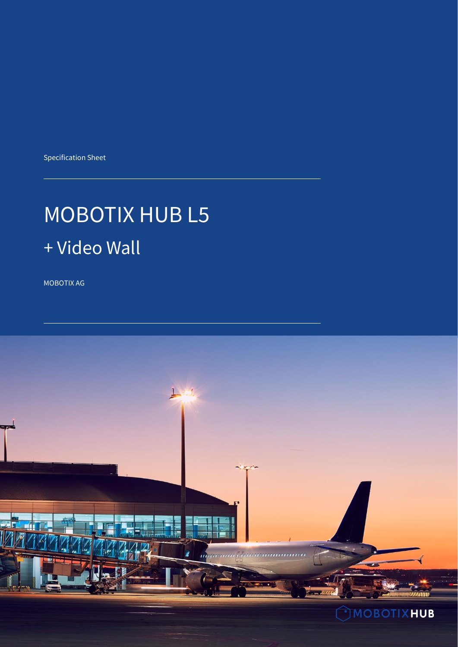Specification Sheet

# MOBOTIX HUB L5 + Video Wall

MOBOTIX AG

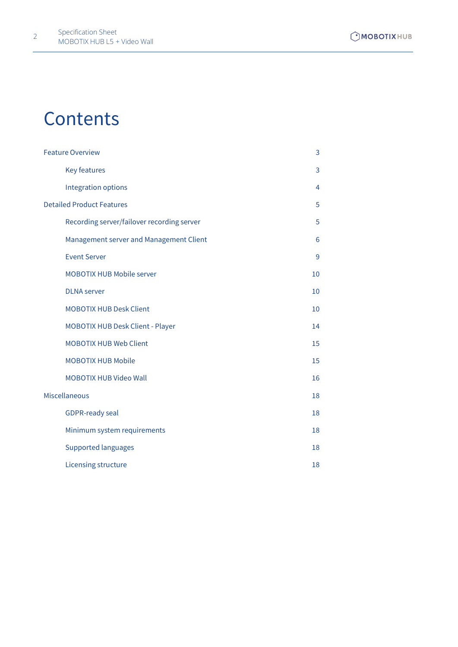## **Contents**

<span id="page-1-0"></span>

| <b>Feature Overview</b>                    | 3  |
|--------------------------------------------|----|
| <b>Key features</b>                        | 3  |
| <b>Integration options</b>                 | 4  |
| <b>Detailed Product Features</b>           | 5  |
| Recording server/failover recording server | 5  |
| Management server and Management Client    | 6  |
| <b>Event Server</b>                        | 9  |
| <b>MOBOTIX HUB Mobile server</b>           | 10 |
| <b>DLNA</b> server                         | 10 |
| <b>MOBOTIX HUB Desk Client</b>             | 10 |
| <b>MOBOTIX HUB Desk Client - Player</b>    | 14 |
| <b>MOBOTIX HUB Web Client</b>              | 15 |
| <b>MOBOTIX HUB Mobile</b>                  | 15 |
| <b>MOBOTIX HUB Video Wall</b>              | 16 |
| <b>Miscellaneous</b>                       | 18 |
| <b>GDPR-ready seal</b>                     | 18 |
| Minimum system requirements                | 18 |
| <b>Supported languages</b>                 | 18 |
| Licensing structure                        | 18 |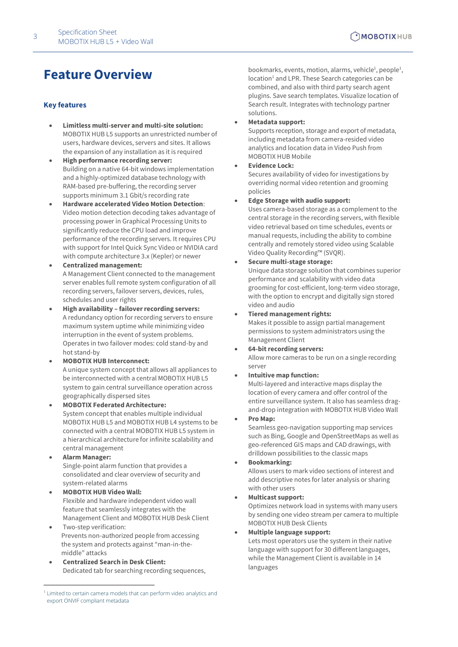#### <span id="page-2-0"></span>**Key features**

- **Limitless multi-server and multi-site solution:**  MOBOTIX HUB L5 supports an unrestricted number of users, hardware devices, servers and sites. It allows the expansion of any installation as it is required
- **High performance recording server:** Building on a native 64-bit windows implementation and a highly-optimized database technology with RAM-based pre-buffering, the recording server supports minimum 3.1 Gbit/s recording rate
- **Hardware accelerated Video Motion Detection**: Video motion detection decoding takes advantage of processing power in Graphical Processing Units to significantly reduce the CPU load and improve performance of the recording servers. It requires CPU with support for Intel Quick Sync Video or NVIDIA card with compute architecture 3.x (Kepler) or newer
- **Centralized management:** A Management Client connected to the management server enables full remote system configuration of all recording servers, failover servers, devices, rules, schedules and user rights
- **High availability – failover recording servers:**  A redundancy option for recording servers to ensure maximum system uptime while minimizing video interruption in the event of system problems. Operates in two failover modes: cold stand-by and hot stand-by
- **MOBOTIX HUB Interconnect:** A unique system concept that allows all appliances to be interconnected with a central MOBOTIX HUB L5 system to gain central surveillance operation across geographically dispersed sites
- **MOBOTIX Federated Architecture:** System concept that enables multiple individual MOBOTIX HUB L5 and MOBOTIX HUB L4 systems to be connected with a central MOBOTIX HUB L5 system in a hierarchical architecture for infinite scalability and central management
- **Alarm Manager:** Single-point alarm function that provides a consolidated and clear overview of security and system-related alarms
- **MOBOTIX HUB Video Wall:** Flexible and hardware independent video wall feature that seamlessly integrates with the Management Client and MOBOTIX HUB Desk Client
- Two-step verification: Prevents non-authorized people from accessing the system and protects against "man-in-themiddle" attacks
- **Centralized Search in Desk Client:** Dedicated tab for searching recording sequences,

bookmarks, events, motion, alarms, vehicle<sup>1</sup>, people<sup>1</sup>, location<sup>1</sup> and LPR. These Search categories can be combined, and also with third party search agent plugins. Save search templates. Visualize location of Search result. Integrates with technology partner solutions.

• **Metadata support:**

Supports reception, storage and export of metadata, including metadata from camera-resided video analytics and location data in Video Push from MOBOTIX HUB Mobile

#### • **Evidence Lock:**

Secures availability of video for investigations by overriding normal video retention and grooming policies

• **Edge Storage with audio support:**

Uses camera-based storage as a complement to the central storage in the recording servers, with flexible video retrieval based on time schedules, events or manual requests, including the ability to combine centrally and remotely stored video using Scalable Video Quality Recording™ (SVQR).

- **Secure multi-stage storage:** Unique data storage solution that combines superior performance and scalability with video data grooming for cost-efficient, long-term video storage, with the option to encrypt and digitally sign stored video and audio
- **Tiered management rights:**

Makes it possible to assign partial management permissions to system administrators using the Management Client

• **64-bit recording servers:** 

Allow more cameras to be run on a single recording server

#### • **Intuitive map function:**

Multi-layered and interactive maps display the location of every camera and offer control of the entire surveillance system. It also has seamless dragand-drop integration with MOBOTIX HUB Video Wall

• **Pro Map:**

Seamless geo-navigation supporting map services such as Bing, Google and OpenStreetMaps as well as geo-referenced GIS maps and CAD drawings, with drilldown possibilities to the classic maps

• **Bookmarking:**

Allows users to mark video sections of interest and add descriptive notes for later analysis or sharing with other users

• **Multicast support:** 

Optimizes network load in systems with many users by sending one video stream per camera to multiple MOBOTIX HUB Desk Clients

• **Multiple language support:** 

Lets most operators use the system in their native language with support for 30 different languages, while the Management Client is available in 14 languages

<sup>1</sup> Limited to certain camera models that can perform video analytics and export ONVIF compliant metadata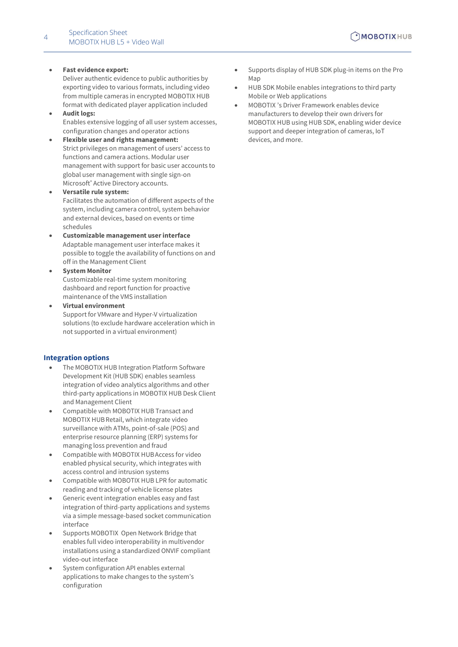#### • **Fast evidence export:**

Deliver authentic evidence to public authorities by exporting video to various formats, including video from multiple cameras in encrypted MOBOTIX HUB format with dedicated player application included

- **Audit logs:**  Enables extensive logging of all user system accesses, configuration changes and operator actions
- **Flexible user and rights management:**  Strict privileges on management of users' access to functions and camera actions. Modular user management with support for basic user accounts to global user management with single sign-on Microsoft<sup>®</sup> Active Directory accounts.
- **Versatile rule system:** Facilitates the automation of different aspects of the system, including camera control, system behavior and external devices, based on events or time schedules
- **Customizable management user interface** Adaptable management user interface makes it possible to toggle the availability of functions on and off in the Management Client
- **System Monitor** Customizable real-time system monitoring dashboard and report function for proactive maintenance of the VMS installation
- **Virtual environment**  Support for VMware and Hyper-V virtualization solutions (to exclude hardware acceleration which in not supported in a virtual environment)

#### <span id="page-3-0"></span>**Integration options**

- The MOBOTIX HUB Integration Platform Software Development Kit (HUB SDK) enables seamless integration of video analytics algorithms and other third-party applications in MOBOTIX HUB Desk Client and Management Client
- Compatible with MOBOTIX HUB Transact and MOBOTIX HUBRetail, which integrate video surveillance with ATMs, point-of-sale (POS) and enterprise resource planning (ERP) systems for managing loss prevention and fraud
- Compatible with MOBOTIX HUBAccess for video enabled physical security, which integrates with access control and intrusion systems
- Compatible with MOBOTIX HUB LPR for automatic reading and tracking of vehicle license plates
- Generic event integration enables easy and fast integration of third-party applications and systems via a simple message-based socket communication interface
- Supports MOBOTIX Open Network Bridge that enables full video interoperability in multivendor installations using a standardized ONVIF compliant video-out interface
- System configuration API enables external applications to make changes to the system's configuration
- Supports display of HUB SDK plug-in items on the Pro Map
- HUB SDK Mobile enables integrations to third party Mobile or Web applications
- MOBOTIX 's Driver Framework enables device manufacturers to develop their own drivers for MOBOTIX HUB using HUB SDK, enabling wider device support and deeper integration of cameras, IoT devices, and more.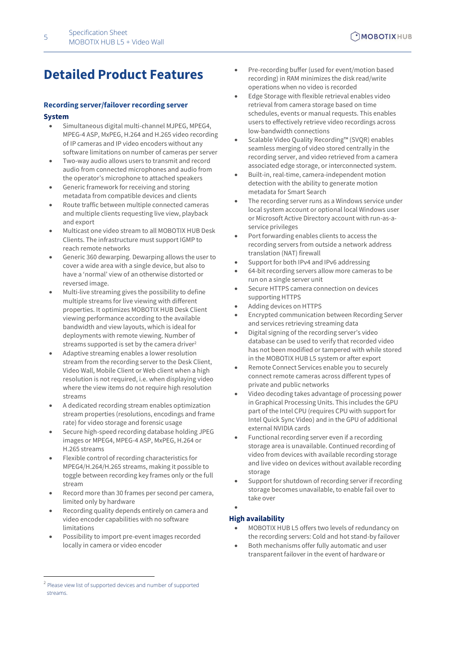## <span id="page-4-0"></span>**Detailed Product Features**

#### <span id="page-4-1"></span>**Recording server/failover recording server**

#### **System**

- Simultaneous digital multi-channel MJPEG, MPEG4, MPEG-4 ASP, MxPEG, H.264 and H.265 video recording of IP cameras and IP video encoders without any software limitations on number of cameras per server
- Two-way audio allows users to transmit and record audio from connected microphones and audio from the operator's microphone to attached speakers
- Generic framework for receiving and storing metadata from compatible devices and clients
- Route traffic between multiple connected cameras and multiple clients requesting live view, playback and export
- Multicast one video stream to all MOBOTIX HUB Desk Clients. The infrastructure must support IGMP to reach remote networks
- Generic 360 dewarping. Dewarping allows the user to cover a wide area with a single device, but also to have a 'normal' view of an otherwise distorted or reversed image.
- Multi-live streaming gives the possibility to define multiple streams for live viewing with different properties. It optimizes MOBOTIX HUB Desk Client viewing performance according to the available bandwidth and view layouts, which is ideal for deployments with remote viewing. Number of streams supported is set by the camera driver<sup>2</sup>
- Adaptive streaming enables a lower resolution stream from the recording server to the Desk Client, Video Wall, Mobile Client or Web client when a high resolution is not required, i.e. when displaying video where the view items do not require high resolution streams
- A dedicated recording stream enables optimization stream properties (resolutions, encodings and frame rate) for video storage and forensic usage
- Secure high-speed recording database holding JPEG images or MPEG4, MPEG-4 ASP, MxPEG, H.264 or H.265 streams
- Flexible control of recording characteristics for MPEG4/H.264/H.265 streams, making it possible to toggle between recording key frames only or the full stream
- Record more than 30 frames per second per camera, limited only by hardware
- Recording quality depends entirely on camera and video encoder capabilities with no software limitations
- Possibility to import pre-event images recorded locally in camera or video encoder
- Pre-recording buffer (used for event/motion based recording) in RAM minimizes the disk read/write operations when no video is recorded
- Edge Storage with flexible retrieval enables video retrieval from camera storage based on time schedules, events or manual requests. This enables users to effectively retrieve video recordings across low-bandwidth connections
- Scalable Video Quality Recording™ (SVQR) enables seamless merging of video stored centrally in the recording server, and video retrieved from a camera associated edge storage, or interconnected system.
- Built-in, real-time, camera-independent motion detection with the ability to generate motion metadata for Smart Search
- The recording server runs as a Windows service under local system account or optional local Windows user or Microsoft Active Directory account with run-as-aservice privileges
- Port forwarding enables clients to access the recording servers from outside a network address translation (NAT) firewall
- Support for both IPv4 and IPv6 addressing
- 64-bit recording servers allow more cameras to be run on a single server unit
- Secure HTTPS camera connection on devices supporting HTTPS
- Adding devices on HTTPS
- Encrypted communication between Recording Server and services retrieving streaming data
- Digital signing of the recording server's video database can be used to verify that recorded video has not been modified or tampered with while stored in the MOBOTIX HUB L5 system or after export
- Remote Connect Services enable you to securely connect remote cameras across different types of private and public networks
- Video decoding takes advantage of processing power in Graphical Processing Units. This includes the GPU part of the Intel CPU (requires CPU with support for Intel Quick Sync Video) and in the GPU of additional external NVIDIA cards
- Functional recording server even if a recording storage area is unavailable. Continued recording of video from devices with available recording storage and live video on devices without available recording storage
- Support for shutdown of recording server if recording storage becomes unavailable, to enable fail over to take over

#### •

#### **High availability**

- MOBOTIX HUB L5 offers two levels of redundancy on the recording servers: Cold and hot stand-by failover
- Both mechanisms offer fully automatic and user transparent failover in the event of hardware or

<sup>&</sup>lt;sup>2</sup> Please view list of supported devices and number of supported streams.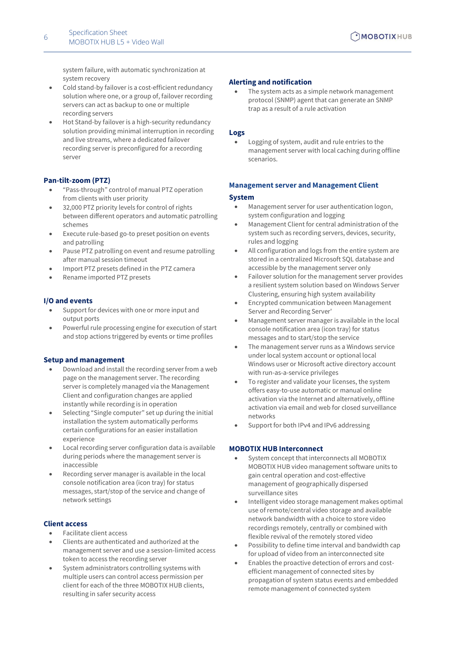system failure, with automatic synchronization at system recovery

- Cold stand-by failover is a cost-efficient redundancy solution where one, or a group of, failover recording servers can act as backup to one or multiple recording servers
- Hot Stand-by failover is a high-security redundancy solution providing minimal interruption in recording and live streams, where a dedicated failover recording server is preconfigured for a recording server

#### **Pan-tilt-zoom (PTZ)**

- "Pass-through" control of manual PTZ operation from clients with user priority
- 32,000 PTZ priority levels for control of rights between different operators and automatic patrolling schemes
- Execute rule-based go-to preset position on events and patrolling
- Pause PTZ patrolling on event and resume patrolling after manual session timeout
- Import PTZ presets defined in the PTZ camera
- Rename imported PTZ presets

#### **I/O and events**

- Support for devices with one or more input and output ports
- Powerful rule processing engine for execution of start and stop actions triggered by events or time profiles

#### **Setup and management**

- Download and install the recording server from a web page on the management server. The recording server is completely managed via the Management Client and configuration changes are applied instantly while recording is in operation
- Selecting "Single computer" set up during the initial installation the system automatically performs certain configurations for an easier installation experience
- Local recording server configuration data is available during periods where the management server is inaccessible
- Recording server manager is available in the local console notification area (icon tray) for status messages, start/stop of the service and change of network settings

#### **Client access**

- Facilitate client access
- Clients are authenticated and authorized at the management server and use a session-limited access token to access the recording server
- System administrators controlling systems with multiple users can control access permission per client for each of the three MOBOTIX HUB clients, resulting in safer security access

#### **Alerting and notification**

The system acts as a simple network management protocol (SNMP) agent that can generate an SNMP trap as a result of a rule activation

#### **Logs**

Logging of system, audit and rule entries to the management server with local caching during offline scenarios.

#### <span id="page-5-0"></span>**Management server and Management Client**

#### **System**

- Management server for user authentication logon, system configuration and logging
- Management Client for central administration of the system such as recording servers, devices, security, rules and logging
- All configuration and logs from the entire system are stored in a centralized Microsoft SQL database and accessible by the management server only
- Failover solution for the management server provides a resilient system solution based on Windows Server Clustering, ensuring high system availability
- Encrypted communication between Management Server and Recording Server'
- Management server manager is available in the local console notification area (icon tray) for status messages and to start/stop the service
- The management server runs as a Windows service under local system account or optional local Windows user or Microsoft active directory account with run-as-a-service privileges
- To register and validate your licenses, the system offers easy-to-use automatic or manual online activation via the Internet and alternatively, offline activation via email and web for closed surveillance networks
- Support for both IPv4 and IPv6 addressing

#### **MOBOTIX HUB Interconnect**

- System concept that interconnects all MOBOTIX MOBOTIX HUB video management software units to gain central operation and cost-effective management of geographically dispersed surveillance sites
- Intelligent video storage management makes optimal use of remote/central video storage and available network bandwidth with a choice to store video recordings remotely, centrally or combined with flexible revival of the remotely stored video
- Possibility to define time interval and bandwidth cap for upload of video from an interconnected site
- Enables the proactive detection of errors and costefficient management of connected sites by propagation of system status events and embedded remote management of connected system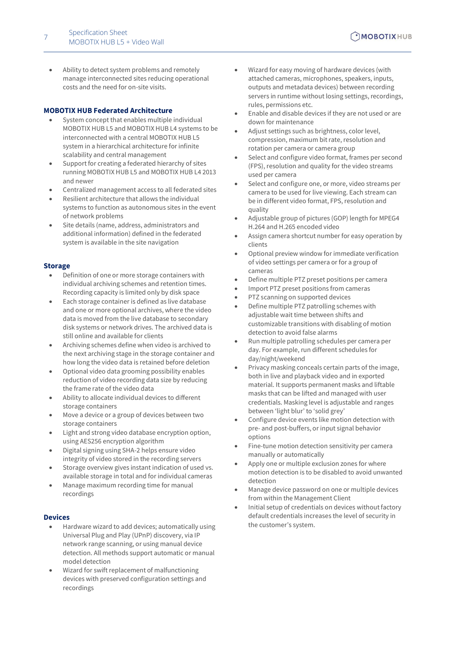• Ability to detect system problems and remotely manage interconnected sites reducing operational costs and the need for on-site visits.

#### **MOBOTIX HUB Federated Architecture**

- System concept that enables multiple individual MOBOTIX HUB L5 and MOBOTIX HUB L4 systems to be interconnected with a central MOBOTIX HUB L5 system in a hierarchical architecture for infinite scalability and central management
- Support for creating a federated hierarchy of sites running MOBOTIX HUB L5 and MOBOTIX HUB L4 2013 and newer
- Centralized management access to all federated sites
- Resilient architecture that allows the individual systems to function as autonomous sites in the event of network problems
- Site details (name, address, administrators and additional information) defined in the federated system is available in the site navigation

#### **Storage**

- Definition of one or more storage containers with individual archiving schemes and retention times. Recording capacity is limited only by disk space
- Each storage container is defined as live database and one or more optional archives, where the video data is moved from the live database to secondary disk systems or network drives. The archived data is still online and available for clients
- Archiving schemes define when video is archived to the next archiving stage in the storage container and how long the video data is retained before deletion
- Optional video data grooming possibility enables reduction of video recording data size by reducing the frame rate of the video data
- Ability to allocate individual devices to different storage containers
- Move a device or a group of devices between two storage containers
- Light and strong video database encryption option, using AES256 encryption algorithm
- Digital signing using SHA-2 helps ensure video integrity of video stored in the recording servers
- Storage overview gives instant indication of used vs. available storage in total and for individual cameras
- Manage maximum recording time for manual recordings

#### **Devices**

- Hardware wizard to add devices; automatically using Universal Plug and Play (UPnP) discovery, via IP network range scanning, or using manual device detection. All methods support automatic or manual model detection
- Wizard for swift replacement of malfunctioning devices with preserved configuration settings and recordings
- Wizard for easy moving of hardware devices (with attached cameras, microphones, speakers, inputs, outputs and metadata devices) between recording servers in runtime without losing settings, recordings, rules, permissions etc.
- Enable and disable devices if they are not used or are down for maintenance
- Adjust settings such as brightness, color level, compression, maximum bit rate, resolution and rotation per camera or camera group
- Select and configure video format, frames per second (FPS), resolution and quality for the video streams used per camera
- Select and configure one, or more, video streams per camera to be used for live viewing. Each stream can be in different video format, FPS, resolution and quality
- Adjustable group of pictures (GOP) length for MPEG4 H.264 and H.265 encoded video
- Assign camera shortcut number for easy operation by clients
- Optional preview window for immediate verification of video settings per camera or for a group of cameras
- Define multiple PTZ preset positions per camera
- Import PTZ preset positions from cameras
- PTZ scanning on supported devices
- Define multiple PTZ patrolling schemes with adjustable wait time between shifts and customizable transitions with disabling of motion detection to avoid false alarms
- Run multiple patrolling schedules per camera per day. For example, run different schedules for day/night/weekend
- Privacy masking conceals certain parts of the image, both in live and playback video and in exported material. It supports permanent masks and liftable masks that can be lifted and managed with user credentials. Masking level is adjustable and ranges between 'light blur' to 'solid grey'
- Configure device events like motion detection with pre- and post-buffers, or input signal behavior options
- Fine-tune motion detection sensitivity per camera manually or automatically
- Apply one or multiple exclusion zones for where motion detection is to be disabled to avoid unwanted detection
- <span id="page-6-0"></span>• Manage device password on one or multiple devices from within the Management Client
- Initial setup of credentials on devices without factory default credentials increases the level of security in the customer's system.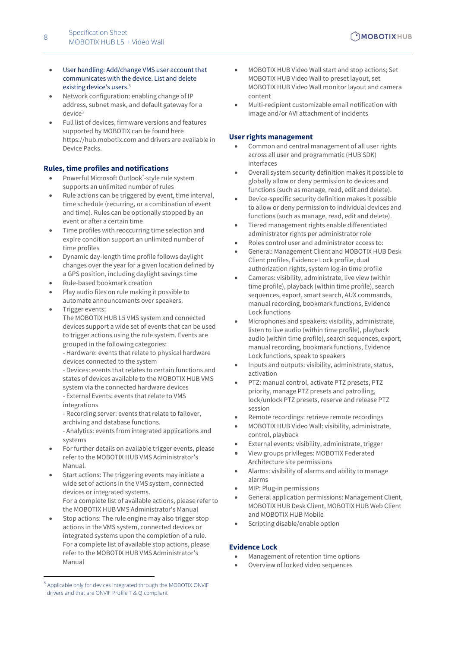- User handling: Add/change VMS user account that communicates with the device. List and delete existing device's users.<sup>3</sup>
- Network configuration: enabling change of IP address, subnet mask, and default gateway for a d[e](#page-6-0)vice<sup>3</sup>
- Full list of devices, firmware versions and features supported by MOBOTIX can be found here https://hub.mobotix.com and drivers are available in Device Packs.

#### **Rules, time profiles and notifications**

- Powerful Microsoft Outlook®-style rule system supports an unlimited number of rules
- Rule actions can be triggered by event, time interval, time schedule (recurring, or a combination of event and time). Rules can be optionally stopped by an event or after a certain time
- Time profiles with reoccurring time selection and expire condition support an unlimited number of time profiles
- Dynamic day-length time profile follows daylight changes over the year for a given location defined by a GPS position, including daylight savings time
- Rule-based bookmark creation
- Play audio files on rule making it possible to automate announcements over speakers.
- Trigger events: The MOBOTIX HUB L5 VMS system and connected
	- devices support a wide set of events that can be used to trigger actions using the rule system. Events are grouped in the following categories:

- Hardware: events that relate to physical hardware devices connected to the system

- Devices: events that relates to certain functions and states of devices available to the MOBOTIX HUB VMS system via the connected hardware devices - External Events: events that relate to VMS integrations

- Recording server: events that relate to failover, archiving and database functions.

- Analytics: events from integrated applications and systems

- For further details on available trigger events, please refer to the MOBOTIX HUB VMS Administrator's Manual.
- Start actions: The triggering events may initiate a wide set of actions in the VMS system, connected devices or integrated systems. For a complete list of available actions, please refer to the MOBOTIX HUB VMS Administrator's Manual
- Stop actions: The rule engine may also trigger stop actions in the VMS system, connected devices or integrated systems upon the completion of a rule. For a complete list of available stop actions, please refer to the MOBOTIX HUB VMS Administrator's Manual
- MOBOTIX HUB Video Wall start and stop actions; Set MOBOTIX HUB Video Wall to preset layout, set MOBOTIX HUB Video Wall monitor layout and camera content
- Multi-recipient customizable email notification with image and/or AVI attachment of incidents

#### **User rights management**

- Common and central management of all user rights across all user and programmatic (HUB SDK) interfaces
- Overall system security definition makes it possible to globally allow or deny permission to devices and functions (such as manage, read, edit and delete).
- Device-specific security definition makes it possible to allow or deny permission to individual devices and functions (such as manage, read, edit and delete).
- Tiered management rights enable differentiated administrator rights per administrator role
- Roles control user and administrator access to:
- General: Management Client and MOBOTIX HUB Desk Client profiles, Evidence Lock profile, dual authorization rights, system log-in time profile
- Cameras: visibility, administrate, live view (within time profile), playback (within time profile), search sequences, export, smart search, AUX commands, manual recording, bookmark functions, Evidence Lock functions
- Microphones and speakers: visibility, administrate, listen to live audio (within time profile), playback audio (within time profile), search sequences, export, manual recording, bookmark functions, Evidence Lock functions, speak to speakers
- Inputs and outputs: visibility, administrate, status, activation
- PTZ: manual control, activate PTZ presets, PTZ priority, manage PTZ presets and patrolling, lock/unlock PTZ presets, reserve and release PTZ session
- Remote recordings: retrieve remote recordings
- MOBOTIX HUB Video Wall: visibility, administrate, control, playback
- External events: visibility, administrate, trigger
- View groups privileges: MOBOTIX Federated Architecture site permissions
- Alarms: visibility of alarms and ability to manage alarms
- MIP: Plug-in permissions
- General application permissions: Management Client, MOBOTIX HUB Desk Client, MOBOTIX HUB Web Client and MOBOTIX HUB Mobile
- Scripting disable/enable option

#### **Evidence Lock**

- Management of retention time options
- Overview of locked video sequences

<sup>3</sup> Applicable only for devices integrated through the MOBOTIX ONVIF drivers and that are ONVIF Profile T & Q compliant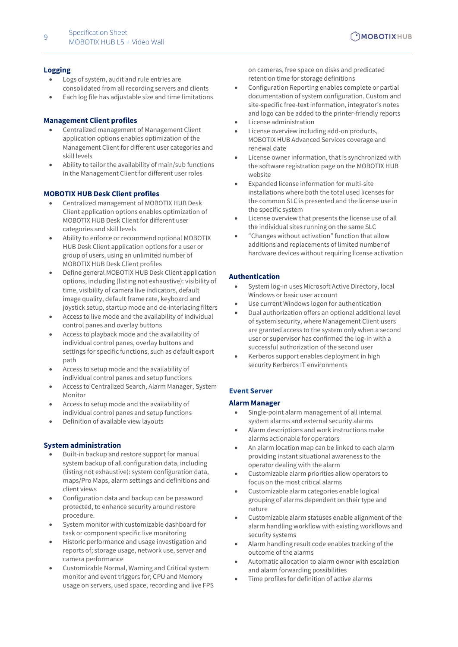- Logs of system, audit and rule entries are consolidated from all recording servers and clients
- Each log file has adjustable size and time limitations

#### **Management Client profiles**

- Centralized management of Management Client application options enables optimization of the Management Client for different user categories and skill levels
- Ability to tailor the availability of main/sub functions in the Management Client for different user roles

#### **MOBOTIX HUB Desk Client profiles**

- Centralized management of MOBOTIX HUB Desk Client application options enables optimization of MOBOTIX HUB Desk Client for different user categories and skill levels
- Ability to enforce or recommend optional MOBOTIX HUB Desk Client application options for a user or group of users, using an unlimited number of MOBOTIX HUB Desk Client profiles
- Define general MOBOTIX HUB Desk Client application options, including (listing not exhaustive): visibility of time, visibility of camera live indicators, default image quality, default frame rate, keyboard and joystick setup, startup mode and de-interlacing filters
- Access to live mode and the availability of individual control panes and overlay buttons
- Access to playback mode and the availability of individual control panes, overlay buttons and settings for specific functions, such as default export path
- Access to setup mode and the availability of individual control panes and setup functions
- Access to Centralized Search, Alarm Manager, System Monitor
- Access to setup mode and the availability of individual control panes and setup functions
- Definition of available view layouts

#### **System administration**

- Built-in backup and restore support for manual system backup of all configuration data, including (listing not exhaustive): system configuration data, maps/Pro Maps, alarm settings and definitions and client views
- Configuration data and backup can be password protected, to enhance security around restore procedure.
- System monitor with customizable dashboard for task or component specific live monitoring
- Historic performance and usage investigation and reports of; storage usage, network use, server and camera performance
- Customizable Normal, Warning and Critical system monitor and event triggers for; CPU and Memory usage on servers, used space, recording and live FPS

on cameras, free space on disks and predicated retention time for storage definitions

- Configuration Reporting enables complete or partial documentation of system configuration. Custom and site-specific free-text information, integrator's notes and logo can be added to the printer-friendly reports
- License administration
- License overview including add-on products, MOBOTIX HUB Advanced Services coverage and renewal date
- License owner information, that is synchronized with the software registration page on the MOBOTIX HUB website
- Expanded license information for multi-site installations where both the total used licenses for the common SLC is presented and the license use in the specific system
- License overview that presents the license use of all the individual sites running on the same SLC
- "Changes without activation" function that allow additions and replacements of limited number of hardware devices without requiring license activation

#### **Authentication**

- System log-in uses Microsoft Active Directory, local Windows or basic user account
- Use current Windows logon for authentication
- Dual authorization offers an optional additional level of system security, where Management Client users are granted access to the system only when a second user or supervisor has confirmed the log-in with a successful authorization of the second user
- Kerberos support enables deployment in high security Kerberos IT environments

#### <span id="page-8-0"></span>**Event Server**

#### **Alarm Manager**

- Single-point alarm management of all internal system alarms and external security alarms
- Alarm descriptions and work instructions make alarms actionable for operators
- An alarm location map can be linked to each alarm providing instant situational awareness to the operator dealing with the alarm
- Customizable alarm priorities allow operators to focus on the most critical alarms
- Customizable alarm categories enable logical grouping of alarms dependent on their type and nature
- Customizable alarm statuses enable alignment of the alarm handling workflow with existing workflows and security systems
- Alarm handling result code enables tracking of the outcome of the alarms
- Automatic allocation to alarm owner with escalation and alarm forwarding possibilities
- Time profiles for definition of active alarms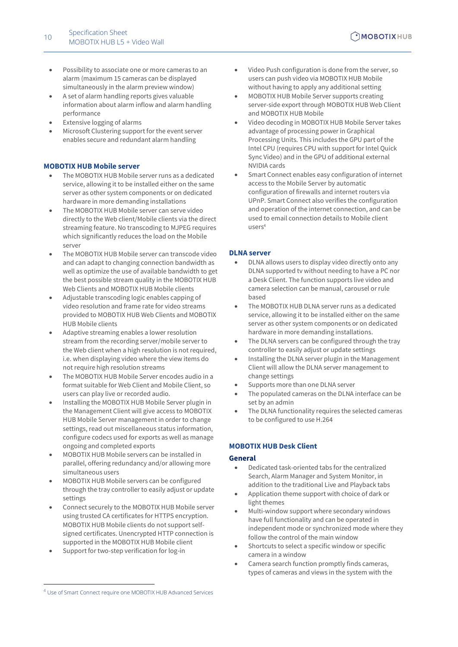- Possibility to associate one or more cameras to an alarm (maximum 15 cameras can be displayed simultaneously in the alarm preview window)
- A set of alarm handling reports gives valuable information about alarm inflow and alarm handling performance
- Extensive logging of alarms
- <span id="page-9-0"></span>• Microsoft Clustering support for the event server enables secure and redundant alarm handling

#### **MOBOTIX HUB Mobile server**

- The MOBOTIX HUB Mobile server runs as a dedicated service, allowing it to be installed either on the same server as other system components or on dedicated hardware in more demanding installations
- The MOBOTIX HUB Mobile server can serve video directly to the Web client/Mobile clients via the direct streaming feature. No transcoding to MJPEG requires which significantly reduces the load on the Mobile server
- The MOBOTIX HUB Mobile server can transcode video and can adapt to changing connection bandwidth as well as optimize the use of available bandwidth to get the best possible stream quality in the MOBOTIX HUB Web Clients and MOBOTIX HUB Mobile clients
- Adjustable transcoding logic enables capping of video resolution and frame rate for video streams provided to MOBOTIX HUB Web Clients and MOBOTIX HUB Mobile clients
- Adaptive streaming enables a lower resolution stream from the recording server/mobile server to the Web client when a high resolution is not required, i.e. when displaying video where the view items do not require high resolution streams
- The MOBOTIX HUB Mobile Server encodes audio in a format suitable for Web Client and Mobile Client, so users can play live or recorded audio.
- Installing the MOBOTIX HUB Mobile Server plugin in the Management Client will give access to MOBOTIX HUB Mobile Server management in order to change settings, read out miscellaneous status information, configure codecs used for exports as well as manage ongoing and completed exports
- MOBOTIX HUB Mobile servers can be installed in parallel, offering redundancy and/or allowing more simultaneous users
- MOBOTIX HUB Mobile servers can be configured through the tray controller to easily adjust or update settings
- Connect securely to the MOBOTIX HUB Mobile server using trusted CA certificates for HTTPS encryption. MOBOTIX HUB Mobile clients do not support selfsigned certificates. Unencrypted HTTP connection is supported in the MOBOTIX HUB Mobile client
- Support for two-step verification for log-in
- Video Push configuration is done from the server, so users can push video via MOBOTIX HUB Mobile without having to apply any additional setting
- MOBOTIX HUB Mobile Server supports creating server-side export through MOBOTIX HUB Web Client and MOBOTIX HUB Mobile
- Video decoding in MOBOTIX HUB Mobile Server takes advantage of processing power in Graphical Processing Units. This includes the GPU part of the Intel CPU (requires CPU with support for Intel Quick Sync Video) and in the GPU of additional external NVIDIA cards
- Smart Connect enables easy configuration of internet access to the Mobile Server by automatic configuration of firewalls and internet routers via UPnP. Smart Connect also verifies the configuration and operation of the internet connection, and can be used to email connection details to Mobile client users<sup>4</sup>

#### <span id="page-9-1"></span>**DLNA server**

- DLNA allows users to display video directly onto any DLNA supported tv without needing to have a PC nor a Desk Client. The function supports live video and camera selection can be manual, carousel or rule based
- The MOBOTIX HUB DLNA server runs as a dedicated service, allowing it to be installed either on the same server as other system components or on dedicated hardware in more demanding installations.
- The DLNA servers can be configured through the tray controller to easily adjust or update settings
- Installing the DLNA server plugin in the Management Client will allow the DLNA server management to change settings
- Supports more than one DLNA server
- The populated cameras on the DLNA interface can be set by an admin
- The DLNA functionality requires the selected cameras to be configured to use H.264

#### <span id="page-9-2"></span>**MOBOTIX HUB Desk Client**

#### **General**

- Dedicated task-oriented tabs for the centralized Search, Alarm Manager and System Monitor, in addition to the traditional Live and Playback tabs
- Application theme support with choice of dark or light themes
- Multi-window support where secondary windows have full functionality and can be operated in independent mode or synchronized mode where they follow the control of the main window
- Shortcuts to select a specific window or specific camera in a window
- Camera search function promptly finds cameras, types of cameras and views in the system with the

<sup>4</sup> Use of Smart Connect require one MOBOTIX HUB Advanced Services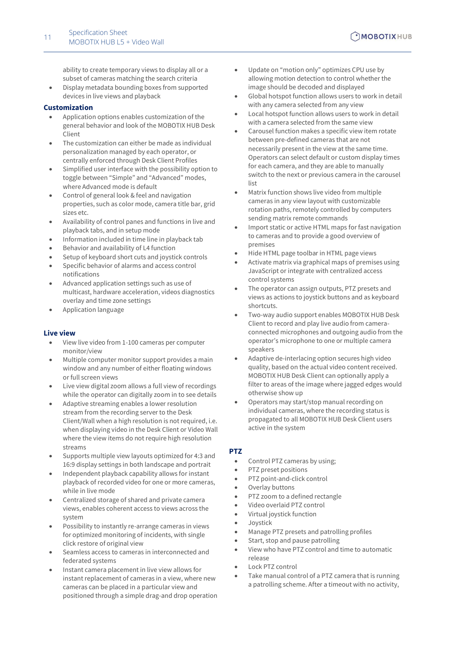ability to create temporary views to display all or a subset of cameras matching the search criteria

• Display metadata bounding boxes from supported devices in live views and playback

#### **Customization**

- Application options enables customization of the general behavior and look of the MOBOTIX HUB Desk Client
- The customization can either be made as individual personalization managed by each operator, or centrally enforced through Desk Client Profiles
- Simplified user interface with the possibility option to toggle between "Simple" and "Advanced" modes, where Advanced mode is default
- Control of general look & feel and navigation properties, such as color mode, camera title bar, grid sizes etc.
- Availability of control panes and functions in live and playback tabs, and in setup mode
- Information included in time line in playback tab
- Behavior and availability of L4 function
- Setup of keyboard short cuts and joystick controls
- Specific behavior of alarms and access control notifications
- Advanced application settings such as use of multicast, hardware acceleration, videos diagnostics overlay and time zone settings
- Application language

#### **Live view**

- View live video from 1-100 cameras per computer monitor/view
- Multiple computer monitor support provides a main window and any number of either floating windows or full screen views
- Live view digital zoom allows a full view of recordings while the operator can digitally zoom in to see details
- Adaptive streaming enables a lower resolution stream from the recording server to the Desk Client/Wall when a high resolution is not required, i.e. when displaying video in the Desk Client or Video Wall where the view items do not require high resolution streams
- Supports multiple view layouts optimized for 4:3 and 16:9 display settings in both landscape and portrait
- Independent playback capability allows for instant playback of recorded video for one or more cameras, while in live mode
- Centralized storage of shared and private camera views, enables coherent access to views across the system
- Possibility to instantly re-arrange cameras in views for optimized monitoring of incidents, with single click restore of original view
- Seamless access to cameras in interconnected and federated systems
- Instant camera placement in live view allows for instant replacement of cameras in a view, where new cameras can be placed in a particular view and positioned through a simple drag-and drop operation
- Update on "motion only" optimizes CPU use by allowing motion detection to control whether the image should be decoded and displayed
- Global hotspot function allows users to work in detail with any camera selected from any view
- Local hotspot function allows users to work in detail with a camera selected from the same view
- Carousel function makes a specific view item rotate between pre-defined cameras that are not necessarily present in the view at the same time. Operators can select default or custom display times for each camera, and they are able to manually switch to the next or previous camera in the carousel list
- Matrix function shows live video from multiple cameras in any view layout with customizable rotation paths, remotely controlled by computers sending matrix remote commands
- Import static or active HTML maps for fast navigation to cameras and to provide a good overview of premises
- Hide HTML page toolbar in HTML page views
- Activate matrix via graphical maps of premises using JavaScript or integrate with centralized access control systems
- The operator can assign outputs, PTZ presets and views as actions to joystick buttons and as keyboard shortcuts.
- Two-way audio support enables MOBOTIX HUB Desk Client to record and play live audio from cameraconnected microphones and outgoing audio from the operator's microphone to one or multiple camera speakers
- Adaptive de-interlacing option secures high video quality, based on the actual video content received. MOBOTIX HUB Desk Client can optionally apply a filter to areas of the image where jagged edges would otherwise show up
- Operators may start/stop manual recording on individual cameras, where the recording status is propagated to all MOBOTIX HUB Desk Client users active in the system

#### **PTZ**

- Control PTZ cameras by using;
- PTZ preset positions
- PTZ point-and-click control
- Overlay buttons
- PTZ zoom to a defined rectangle
- Video overlaid PTZ control
- Virtual joystick function
- **Joystick**
- Manage PTZ presets and patrolling profiles
- Start, stop and pause patrolling
- View who have PTZ control and time to automatic release
- Lock PTZ control
- Take manual control of a PTZ camera that is running a patrolling scheme. After a timeout with no activity,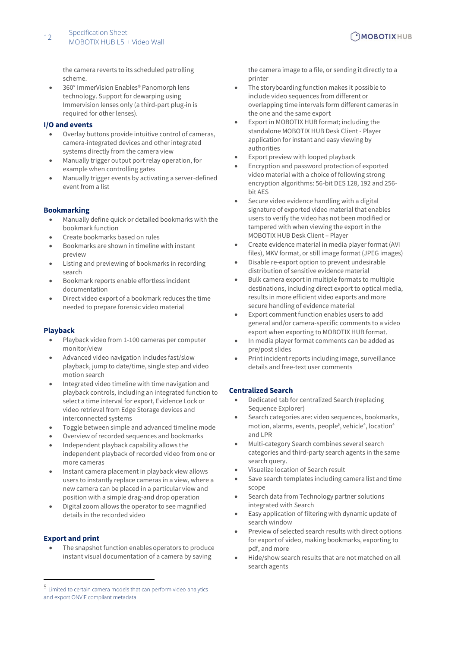the camera reverts to its scheduled patrolling scheme.

• 360° ImmerVision Enables® Panomorph lens technology. Support for dewarping using Immervision lenses only (a third-part plug-in is required for other lenses).

#### **I/O and events**

- Overlay buttons provide intuitive control of cameras, camera-integrated devices and other integrated systems directly from the camera view
- Manually trigger output port relay operation, for example when controlling gates
- Manually trigger events by activating a server-defined event from a list

#### **Bookmarking**

- Manually define quick or detailed bookmarks with the bookmark function
- Create bookmarks based on rules
- Bookmarks are shown in timeline with instant preview
- Listing and previewing of bookmarks in recording search
- Bookmark reports enable effortless incident documentation
- Direct video export of a bookmark reduces the time needed to prepare forensic video material

#### **Playback**

- Playback video from 1-100 cameras per computer monitor/view
- Advanced video navigation includes fast/slow playback, jump to date/time, single step and video motion search
- Integrated video timeline with time navigation and playback controls, including an integrated function to select a time interval for export, Evidence Lock or video retrieval from Edge Storage devices and interconnected systems
- Toggle between simple and advanced timeline mode
- Overview of recorded sequences and bookmarks
- Independent playback capability allows the independent playback of recorded video from one or more cameras
- Instant camera placement in playback view allows users to instantly replace cameras in a view, where a new camera can be placed in a particular view and position with a simple drag-and drop operation
- Digital zoom allows the operator to see magnified details in the recorded video

#### **Export and print**

The snapshot function enables operators to produce instant visual documentation of a camera by saving

the camera image to a file, or sending it directly to a printer

- The storyboarding function makes it possible to include video sequences from different or overlapping time intervals form different cameras in the one and the same export
- Export in MOBOTIX HUB format; including the standalone MOBOTIX HUB Desk Client - Player application for instant and easy viewing by authorities
- Export preview with looped playback
- Encryption and password protection of exported video material with a choice of following strong encryption algorithms: 56-bit DES 128, 192 and 256 bit AES
- Secure video evidence handling with a digital signature of exported video material that enables users to verify the video has not been modified or tampered with when viewing the export in the MOBOTIX HUB Desk Client – Player
- Create evidence material in media player format (AVI files), MKV format, or still image format (JPEG images)
- Disable re-export option to prevent undesirable distribution of sensitive evidence material
- Bulk camera export in multiple formats to multiple destinations, including direct export to optical media, results in more efficient video exports and more secure handling of evidence material
- Export comment function enables users to add general and/or camera-specific comments to a video export when exporting to MOBOTIX HUB format.
- In media player format comments can be added as pre/post slides
- Print incident reports including image, surveillance details and free-text user comments

#### **Centralized Search**

- Dedicated tab for centralized Search (replacing Sequence Explorer)
- Search categories are: video sequences, bookmarks, motion, alarms, events, people<sup>5</sup>, vehicle<sup>4</sup>, location<sup>4</sup> and LPR
- Multi-category Search combines several search categories and third-party search agents in the same search query.
- Visualize location of Search result
- Save search templates including camera list and time scope
- Search data from Technology partner solutions integrated with Search
- Easy application of filtering with dynamic update of search window
- Preview of selected search results with direct options for export of video, making bookmarks, exporting to pdf, and more
- Hide/show search results that are not matched on all search agents

<sup>5</sup> Limited to certain camera models that can perform video analytics and export ONVIF compliant metadata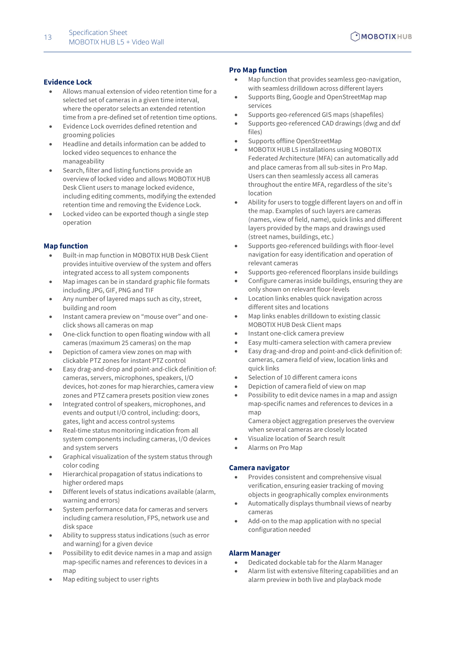#### **Evidence Lock**

- Allows manual extension of video retention time for a selected set of cameras in a given time interval, where the operator selects an extended retention time from a pre-defined set of retention time options.
- Evidence Lock overrides defined retention and grooming policies
- Headline and details information can be added to locked video sequences to enhance the manageability
- Search, filter and listing functions provide an overview of locked video and allows MOBOTIX HUB Desk Client users to manage locked evidence, including editing comments, modifying the extended retention time and removing the Evidence Lock.
- Locked video can be exported though a single step operation

#### **Map function**

- Built-in map function in MOBOTIX HUB Desk Client provides intuitive overview of the system and offers integrated access to all system components
- Map images can be in standard graphic file formats including JPG, GIF, PNG and TIF
- Any number of layered maps such as city, street, building and room
- Instant camera preview on "mouse over" and oneclick shows all cameras on map
- One-click function to open floating window with all cameras (maximum 25 cameras) on the map
- Depiction of camera view zones on map with clickable PTZ zones for instant PTZ control
- Easy drag-and-drop and point-and-click definition of: cameras, servers, microphones, speakers, I/O devices, hot-zones for map hierarchies, camera view zones and PTZ camera presets position view zones
- Integrated control of speakers, microphones, and events and output I/O control, including: doors, gates, light and access control systems
- Real-time status monitoring indication from all system components including cameras, I/O devices and system servers
- Graphical visualization of the system status through color coding
- Hierarchical propagation of status indications to higher ordered maps
- Different levels of status indications available (alarm, warning and errors)
- System performance data for cameras and servers including camera resolution, FPS, network use and disk space
- Ability to suppress status indications (such as error and warning) for a given device
- Possibility to edit device names in a map and assign map-specific names and references to devices in a map
- Map editing subject to user rights

#### **Pro Map function**

- Map function that provides seamless geo-navigation, with seamless drilldown across different layers
- Supports Bing, Google and OpenStreetMap map services
- Supports geo-referenced GIS maps (shapefiles)
- Supports geo-referenced CAD drawings (dwg and dxf files)
- Supports offline OpenStreetMap
- MOBOTIX HUB L5 installations using MOBOTIX Federated Architecture (MFA) can automatically add and place cameras from all sub-sites in Pro Map. Users can then seamlessly access all cameras throughout the entire MFA, regardless of the site's location
- Ability for users to toggle different layers on and off in the map. Examples of such layers are cameras (names, view of field, name), quick links and different layers provided by the maps and drawings used (street names, buildings, etc.)
- Supports geo-referenced buildings with floor-level navigation for easy identification and operation of relevant cameras
- Supports geo-referenced floorplans inside buildings
- Configure cameras inside buildings, ensuring they are only shown on relevant floor-levels
- Location links enables quick navigation across different sites and locations
- Map links enables drilldown to existing classic MOBOTIX HUB Desk Client maps
- Instant one-click camera preview
- Easy multi-camera selection with camera preview
- Easy drag-and-drop and point-and-click definition of: cameras, camera field of view, location links and quick links
- Selection of 10 different camera icons
- Depiction of camera field of view on map
- Possibility to edit device names in a map and assign map-specific names and references to devices in a map

Camera object aggregation preserves the overview when several cameras are closely located

- Visualize location of Search result
- Alarms on Pro Map

#### **Camera navigator**

- Provides consistent and comprehensive visual verification, ensuring easier tracking of moving objects in geographically complex environments
- Automatically displays thumbnail views of nearby cameras
- Add-on to the map application with no special configuration needed

#### **Alarm Manager**

- Dedicated dockable tab for the Alarm Manager
- Alarm list with extensive filtering capabilities and an alarm preview in both live and playback mode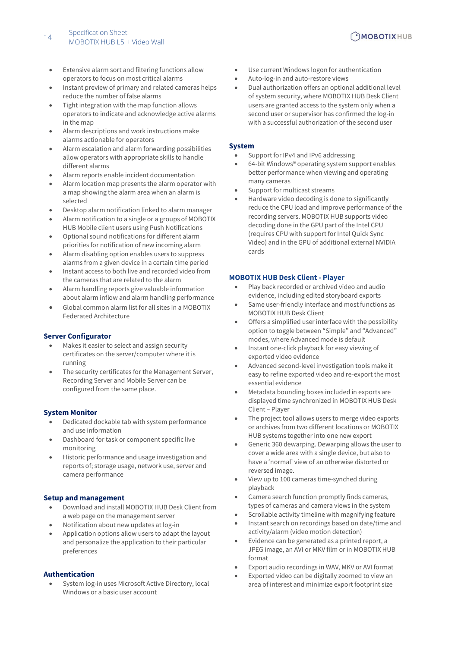- Extensive alarm sort and filtering functions allow operators to focus on most critical alarms
- Instant preview of primary and related cameras helps reduce the number of false alarms
- Tight integration with the map function allows operators to indicate and acknowledge active alarms in the map
- Alarm descriptions and work instructions make alarms actionable for operators
- Alarm escalation and alarm forwarding possibilities allow operators with appropriate skills to handle different alarms
- Alarm reports enable incident documentation
- Alarm location map presents the alarm operator with a map showing the alarm area when an alarm is selected
- Desktop alarm notification linked to alarm manager
- Alarm notification to a single or a groups of MOBOTIX HUB Mobile client users using Push Notifications
- Optional sound notifications for different alarm priorities for notification of new incoming alarm
- Alarm disabling option enables users to suppress alarms from a given device in a certain time period
- Instant access to both live and recorded video from the cameras that are related to the alarm
- Alarm handling reports give valuable information about alarm inflow and alarm handling performance
- Global common alarm list for all sites in a MOBOTIX Federated Architecture

#### **Server Configurator**

- Makes it easier to select and assign security certificates on the server/computer where it is running
- The security certificates for the Management Server, Recording Server and Mobile Server can be configured from the same place.

#### **System Monitor**

- Dedicated dockable tab with system performance and use information
- Dashboard for task or component specific live monitoring
- Historic performance and usage investigation and reports of; storage usage, network use, server and camera performance

#### **Setup and management**

- Download and install MOBOTIX HUB Desk Client from a web page on the management server
- Notification about new updates at log-in
- Application options allow users to adapt the layout and personalize the application to their particular preferences

#### **Authentication**

• System log-in uses Microsoft Active Directory, local Windows or a basic user account

- Use current Windows logon for authentication
- Auto-log-in and auto-restore views
- Dual authorization offers an optional additional level of system security, where MOBOTIX HUB Desk Client users are granted access to the system only when a second user or supervisor has confirmed the log-in with a successful authorization of the second user

#### **System**

- Support for IPv4 and IPv6 addressing
- 64-bit Windows® operating system support enables better performance when viewing and operating many cameras
- Support for multicast streams
- Hardware video decoding is done to significantly reduce the CPU load and improve performance of the recording servers. MOBOTIX HUB supports video decoding done in the GPU part of the Intel CPU (requires CPU with support for Intel Quick Sync Video) and in the GPU of additional external NVIDIA cards

#### <span id="page-13-0"></span>**MOBOTIX HUB Desk Client - Player**

- Play back recorded or archived video and audio evidence, including edited storyboard exports
- Same user-friendly interface and most functions as MOBOTIX HUB Desk Client
- Offers a simplified user interface with the possibility option to toggle between "Simple" and "Advanced" modes, where Advanced mode is default
- Instant one-click playback for easy viewing of exported video evidence
- Advanced second-level investigation tools make it easy to refine exported video and re-export the most essential evidence
- Metadata bounding boxes included in exports are displayed time synchronized in MOBOTIX HUB Desk Client – Player
- The project tool allows users to merge video exports or archives from two different locations or MOBOTIX HUB systems together into one new export
- Generic 360 dewarping. Dewarping allows the user to cover a wide area with a single device, but also to have a 'normal' view of an otherwise distorted or reversed image.
- View up to 100 cameras time-synched during playback
- Camera search function promptly finds cameras, types of cameras and camera views in the system
- Scrollable activity timeline with magnifying feature
- Instant search on recordings based on date/time and activity/alarm (video motion detection)
- Evidence can be generated as a printed report, a JPEG image, an AVI or MKV film or in MOBOTIX HUB format
- Export audio recordings in WAV, MKV or AVI format
- Exported video can be digitally zoomed to view an area of interest and minimize export footprint size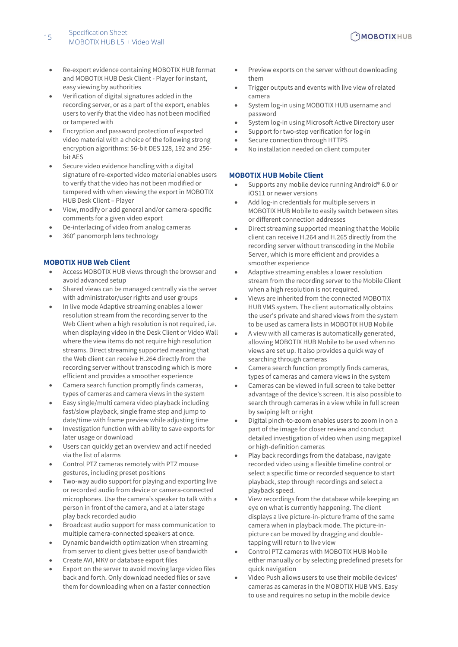- Re-export evidence containing MOBOTIX HUB format and MOBOTIX HUB Desk Client - Player for instant, easy viewing by authorities
- Verification of digital signatures added in the recording server, or as a part of the export, enables users to verify that the video has not been modified or tampered with
- Encryption and password protection of exported video material with a choice of the following strong encryption algorithms: 56-bit DES 128, 192 and 256 bit AES
- Secure video evidence handling with a digital signature of re-exported video material enables users to verify that the video has not been modified or tampered with when viewing the export in MOBOTIX HUB Desk Client – Player
- View, modify or add general and/or camera-specific comments for a given video export
- De-interlacing of video from analog cameras
- <span id="page-14-0"></span>• 360° panomorph lens technology

#### **MOBOTIX HUB Web Client**

- Access MOBOTIX HUB views through the browser and avoid advanced setup
- Shared views can be managed centrally via the server with administrator/user rights and user groups
- In live mode Adaptive streaming enables a lower resolution stream from the recording server to the Web Client when a high resolution is not required, i.e. when displaying video in the Desk Client or Video Wall where the view items do not require high resolution streams. Direct streaming supported meaning that the Web client can receive H.264 directly from the recording server without transcoding which is more efficient and provides a smoother experience
- Camera search function promptly finds cameras, types of cameras and camera views in the system
- Easy single/multi camera video playback including fast/slow playback, single frame step and jump to date/time with frame preview while adjusting time
- Investigation function with ability to save exports for later usage or download
- Users can quickly get an overview and act if needed via the list of alarms
- Control PTZ cameras remotely with PTZ mouse gestures, including preset positions
- Two-way audio support for playing and exporting live or recorded audio from device or camera-connected microphones. Use the camera's speaker to talk with a person in front of the camera, and at a later stage play back recorded audio
- Broadcast audio support for mass communication to multiple camera-connected speakers at once.
- Dynamic bandwidth optimization when streaming from server to client gives better use of bandwidth
- Create AVI, MKV or database export files
- Export on the server to avoid moving large video files back and forth. Only download needed files or save them for downloading when on a faster connection
- Preview exports on the server without downloading them
- Trigger outputs and events with live view of related camera
- System log-in using MOBOTIX HUB username and password
- System log-in using Microsoft Active Directory user
- Support for two-step verification for log-in
- Secure connection through HTTPS
- <span id="page-14-1"></span>• No installation needed on client computer

#### **MOBOTIX HUB Mobile Client**

- Supports any mobile device running Android® 6.0 or iOS11 or newer versions
- Add log-in credentials for multiple servers in MOBOTIX HUB Mobile to easily switch between sites or different connection addresses
- Direct streaming supported meaning that the Mobile client can receive H.264 and H.265 directly from the recording server without transcoding in the Mobile Server, which is more efficient and provides a smoother experience
- Adaptive streaming enables a lower resolution stream from the recording server to the Mobile Client when a high resolution is not required.
- Views are inherited from the connected MOBOTIX HUB VMS system. The client automatically obtains the user's private and shared views from the system to be used as camera lists in MOBOTIX HUB Mobile
- A view with all cameras is automatically generated, allowing MOBOTIX HUB Mobile to be used when no views are set up. It also provides a quick way of searching through cameras
- Camera search function promptly finds cameras, types of cameras and camera views in the system
- Cameras can be viewed in full screen to take better advantage of the device's screen. It is also possible to search through cameras in a view while in full screen by swiping left or right
- Digital pinch-to-zoom enables users to zoom in on a part of the image for closer review and conduct detailed investigation of video when using megapixel or high-definition cameras
- Play back recordings from the database, navigate recorded video using a flexible timeline control or select a specific time or recorded sequence to start playback, step through recordings and select a playback speed.
- View recordings from the database while keeping an eye on what is currently happening. The client displays a live picture-in-picture frame of the same camera when in playback mode. The picture-inpicture can be moved by dragging and doubletapping will return to live view
- Control PTZ cameras with MOBOTIX HUB Mobile either manually or by selecting predefined presets for quick navigation
- Video Push allows users to use their mobile devices' cameras as cameras in the MOBOTIX HUB VMS. Easy to use and requires no setup in the mobile device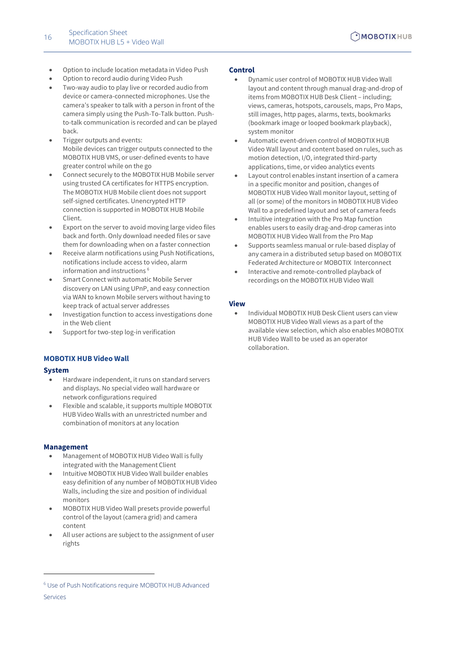- Option to include location metadata in Video Push
- Option to record audio during Video Push
- Two-way audio to play live or recorded audio from device or camera-connected microphones. Use the camera's speaker to talk with a person in front of the camera simply using the Push-To-Talk button. Pushto-talk communication is recorded and can be played back.
- Trigger outputs and events: Mobile devices can trigger outputs connected to the MOBOTIX HUB VMS, or user-defined events to have greater control while on the go
- Connect securely to the MOBOTIX HUB Mobile server using trusted CA certificates for HTTPS encryption. The MOBOTIX HUB Mobile client does not support self-signed certificates. Unencrypted HTTP connection is supported in MOBOTIX HUB Mobile Client.
- Export on the server to avoid moving large video files back and forth. Only download needed files or save them for downloading when on a faster connection
- Receive alarm notifications using Push Notifications, notifications include access to video, alarm information and instructions <sup>6</sup>
- Smart Connect with automatic Mobile Server discovery on LAN using UPnP, and easy connection via WAN to known Mobile servers without having to keep track of actual server addresses
- Investigation function to access investigations done in the Web client
- <span id="page-15-0"></span>Support for two-step log-in verification

#### **MOBOTIX HUB Video Wall**

#### **System**

- Hardware independent, it runs on standard servers and displays. No special video wall hardware or network configurations required
- Flexible and scalable, it supports multiple MOBOTIX HUB Video Walls with an unrestricted number and combination of monitors at any location

#### **Management**

- Management of MOBOTIX HUB Video Wall is fully integrated with the Management Client
- Intuitive MOBOTIX HUB Video Wall builder enables easy definition of any number of MOBOTIX HUB Video Walls, including the size and position of individual monitors
- MOBOTIX HUB Video Wall presets provide powerful control of the layout (camera grid) and camera content
- All user actions are subject to the assignment of user rights

#### **Control**

- Dynamic user control of MOBOTIX HUB Video Wall layout and content through manual drag-and-drop of items from MOBOTIX HUB Desk Client – including; views, cameras, hotspots, carousels, maps, Pro Maps, still images, http pages, alarms, texts, bookmarks (bookmark image or looped bookmark playback), system monitor
- Automatic event-driven control of MOBOTIX HUB Video Wall layout and content based on rules, such as motion detection, I/O, integrated third-party applications, time, or video analytics events
- Layout control enables instant insertion of a camera in a specific monitor and position, changes of MOBOTIX HUB Video Wall monitor layout, setting of all (or some) of the monitors in MOBOTIX HUB Video Wall to a predefined layout and set of camera feeds
- Intuitive integration with the Pro Map function enables users to easily drag-and-drop cameras into MOBOTIX HUB Video Wall from the Pro Map
- Supports seamless manual or rule-based display of any camera in a distributed setup based on MOBOTIX Federated Architecture or MOBOTIX Interconnect
- Interactive and remote-controlled playback of recordings on the MOBOTIX HUB Video Wall

#### **View**

• Individual MOBOTIX HUB Desk Client users can view MOBOTIX HUB Video Wall views as a part of the available view selection, which also enables MOBOTIX HUB Video Wall to be used as an operator collaboration.

<sup>6</sup> Use of Push Notifications require MOBOTIX HUB Advanced Services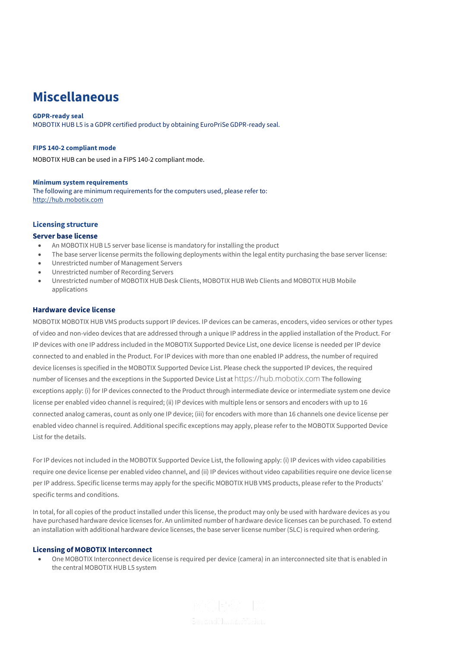## **Miscellaneous**

#### **GDPR-ready seal**

MOBOTIX HUB L5 is a GDPR certified product by obtaining EuroPriSe GDPR-ready seal.

#### **FIPS 140-2 compliant mode**

MOBOTIX HUB can be used in a FIPS 140-2 compliant mode.

#### **Minimum system requirements**

The following are minimum requirements for the computers used, please refer to: [http://hub.mobotix.com](http://hub.mobotix.com/)

#### **Licensing structure**

#### **Server base license**

- An MOBOTIX HUB L5 server base license is mandatory for installing the product
- The base server license permits the following deployments within the legal entity purchasing the base server license:
- Unrestricted number of Management Servers
- Unrestricted number of Recording Servers
- Unrestricted number of MOBOTIX HUB Desk Clients, MOBOTIX HUB Web Clients and MOBOTIX HUB Mobile applications

#### **Hardware device license**

MOBOTIX MOBOTIX HUB VMS products support IP devices. IP devices can be cameras, encoders, video services or other types of video and non-video devices that are addressed through a unique IP address in the applied installation of the Product. For IP devices with one IP address included in the MOBOTIX Supported Device List, one device license is needed per IP device connected to and enabled in the Product. For IP devices with more than one enabled IP address, the number of required device licenses is specified in the MOBOTIX Supported Device List. Please check the supported IP devices, the required number of licenses and the exceptions in the Supported Device List at [https://hub.mobotix.com](https://hub.mobotix.com/) The following exceptions apply: (i) for IP devices connected to the Product through intermediate device or intermediate system one device license per enabled video channel is required; (ii) IP devices with multiple lens or sensors and encoders with up to 16 connected analog cameras, count as only one IP device; (iii) for encoders with more than 16 channels one device license per enabled video channel is required. Additional specific exceptions may apply, please refer to the MOBOTIX Supported Device List for the details.

For IP devices not included in the MOBOTIX Supported Device List, the following apply: (i) IP devices with video capabilities require one device license per enabled video channel, and (ii) IP devices without video capabilities require one device license per IP address. Specific license terms may apply for the specific MOBOTIX HUB VMS products, please refer to the Products' specific terms and conditions.

In total, for all copies of the product installed under this license, the product may only be used with hardware devices as you have purchased hardware device licenses for. An unlimited number of hardware device licenses can be purchased. To extend an installation with additional hardware device licenses, the base server license number (SLC) is required when ordering.

#### **Licensing of MOBOTIX Interconnect**

• One MOBOTIX Interconnect device license is required per device (camera) in an interconnected site that is enabled in the central MOBOTIX HUB L5 system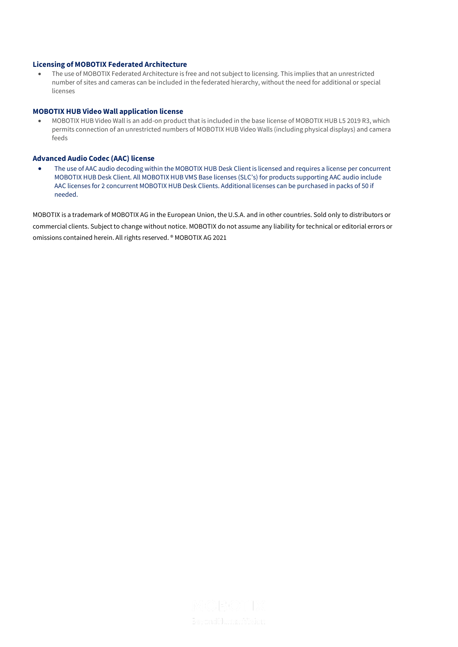#### **Licensing of MOBOTIX Federated Architecture**

• The use of MOBOTIX Federated Architecture is free and not subject to licensing. This implies that an unrestricted number of sites and cameras can be included in the federated hierarchy, without the need for additional or special licenses

#### **MOBOTIX HUB Video Wall application license**

• MOBOTIX HUB Video Wall is an add-on product that is included in the base license of MOBOTIX HUB L5 2019 R3, which permits connection of an unrestricted numbers of MOBOTIX HUB Video Walls (including physical displays) and camera feeds

#### **Advanced Audio Codec (AAC) license**

• The use of AAC audio decoding within the MOBOTIX HUB Desk Client is licensed and requires a license per concurrent MOBOTIX HUB Desk Client. All MOBOTIX HUB VMS Base licenses (SLC's) for products supporting AAC audio include AAC licenses for 2 concurrent MOBOTIX HUB Desk Clients. Additional licenses can be purchased in packs of 50 if needed.

MOBOTIX is a trademark of MOBOTIX AG in the European Union, the U.S.A. and in other countries. Sold only to distributors or commercial clients. Subject to change without notice. MOBOTIX do not assume any liability for technical or editorial errors or omissions contained herein. All rights reserved. ® MOBOTIX AG 2021